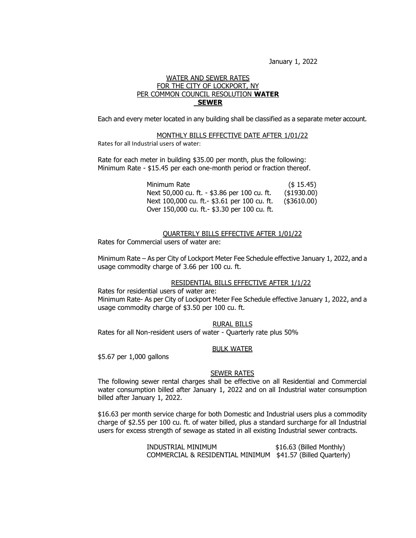January 1, 2022

## WATER AND SEWER RATES FOR THE CITY OF LOCKPORT, NY PER COMMON COUNCIL RESOLUTION **WATER SEWER**

Each and every meter located in any building shall be classified as a separate meter account.

#### MONTHLY BILLS EFFECTIVE DATE AFTER 1/01/22

Rates for all Industrial users of water:

Rate for each meter in building \$35.00 per month, plus the following: Minimum Rate - \$15.45 per each one-month period or fraction thereof.

> Minimum Rate (\$ 15.45) Next 50,000 cu. ft. - \$3.86 per 100 cu. ft. (\$1930.00) Next 100,000 cu. ft.- \$3.61 per 100 cu. ft. (\$3610.00) Over 150,000 cu. ft.- \$3.30 per 100 cu. ft.

QUARTERLY BILLS EFFECTIVE AFTER 1/01/22

Rates for Commercial users of water are:

Minimum Rate – As per City of Lockport Meter Fee Schedule effective January 1, 2022, and a usage commodity charge of 3.66 per 100 cu. ft.

### RESIDENTIAL BILLS EFFECTIVE AFTER 1/1/22

Rates for residential users of water are: Minimum Rate- As per City of Lockport Meter Fee Schedule effective January 1, 2022, and a usage commodity charge of \$3.50 per 100 cu. ft.

## RURAL BILLS

Rates for all Non-resident users of water - Quarterly rate plus 50%

## BULK WATER

\$5.67 per 1,000 gallons

### SEWER RATES

The following sewer rental charges shall be effective on all Residential and Commercial water consumption billed after January 1, 2022 and on all Industrial water consumption billed after January 1, 2022.

\$16.63 per month service charge for both Domestic and Industrial users plus a commodity charge of \$2.55 per 100 cu. ft. of water billed, plus a standard surcharge for all Industrial users for excess strength of sewage as stated in all existing Industrial sewer contracts.

> INDUSTRIAL MINIMUM \$16.63 (Billed Monthly) COMMERCIAL & RESIDENTIAL MINIMUM \$41.57 (Billed Quarterly)